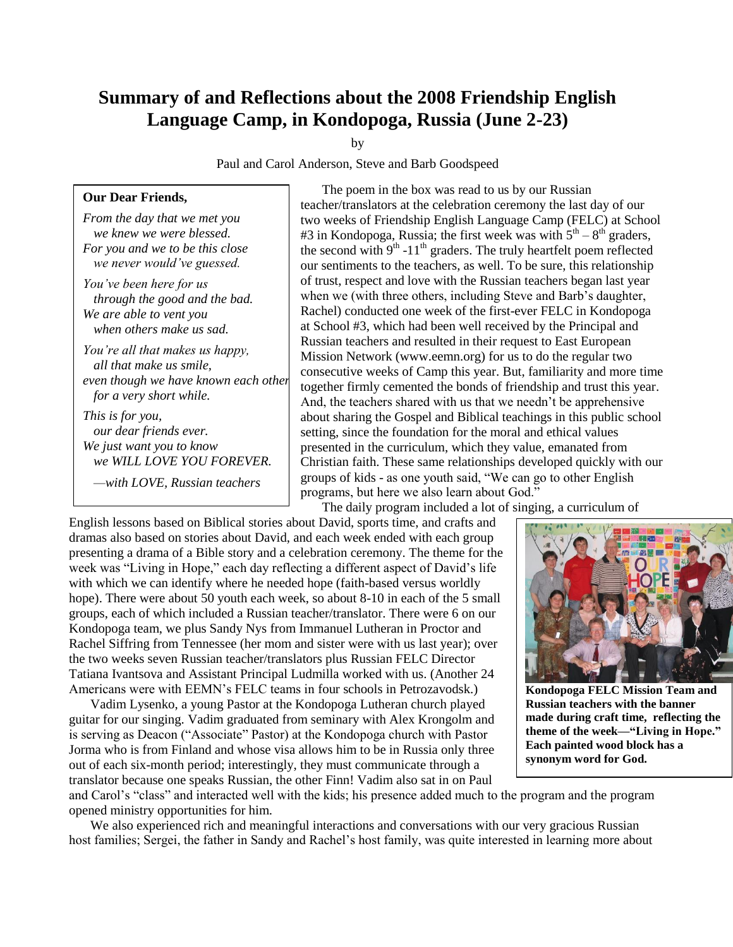## **Summary of and Reflections about the 2008 Friendship English Language Camp, in Kondopoga, Russia (June 2-23)**

by

Paul and Carol Anderson, Steve and Barb Goodspeed

## **Our Dear Friends,**

*From the day that we met you we knew we were blessed. For you and we to be this close we never would've guessed.*

*You've been here for us through the good and the bad. We are able to vent you when others make us sad.*

*You're all that makes us happy, all that make us smile, even though we have known each other for a very short while.*

*This is for you, our dear friends ever. We just want you to know we WILL LOVE YOU FOREVER.*

*—with LOVE, Russian teachers*

The poem in the box was read to us by our Russian teacher/translators at the celebration ceremony the last day of our two weeks of Friendship English Language Camp (FELC) at School #3 in Kondopoga, Russia; the first week was with  $5<sup>th</sup> - 8<sup>th</sup>$  graders, the second with  $9<sup>th</sup> - 11<sup>th</sup>$  graders. The truly heartfelt poem reflected our sentiments to the teachers, as well. To be sure, this relationship of trust, respect and love with the Russian teachers began last year when we (with three others, including Steve and Barb's daughter, Rachel) conducted one week of the first-ever FELC in Kondopoga at School #3, which had been well received by the Principal and Russian teachers and resulted in their request to East European Mission Network (www.eemn.org) for us to do the regular two consecutive weeks of Camp this year. But, familiarity and more time together firmly cemented the bonds of friendship and trust this year. And, the teachers shared with us that we needn't be apprehensive about sharing the Gospel and Biblical teachings in this public school setting, since the foundation for the moral and ethical values presented in the curriculum, which they value, emanated from Christian faith. These same relationships developed quickly with our groups of kids - as one youth said, "We can go to other English programs, but here we also learn about God."

The daily program included a lot of singing, a curriculum of

English lessons based on Biblical stories about David, sports time, and crafts and dramas also based on stories about David, and each week ended with each group presenting a drama of a Bible story and a celebration ceremony. The theme for the week was "Living in Hope," each day reflecting a different aspect of David's life with which we can identify where he needed hope (faith-based versus worldly hope). There were about 50 youth each week, so about 8-10 in each of the 5 small groups, each of which included a Russian teacher/translator. There were 6 on our Kondopoga team, we plus Sandy Nys from Immanuel Lutheran in Proctor and Rachel Siffring from Tennessee (her mom and sister were with us last year); over the two weeks seven Russian teacher/translators plus Russian FELC Director Tatiana Ivantsova and Assistant Principal Ludmilla worked with us. (Another 24 Americans were with EEMN's FELC teams in four schools in Petrozavodsk.)

Vadim Lysenko, a young Pastor at the Kondopoga Lutheran church played guitar for our singing. Vadim graduated from seminary with Alex Krongolm and is serving as Deacon ("Associate" Pastor) at the Kondopoga church with Pastor Jorma who is from Finland and whose visa allows him to be in Russia only three out of each six-month period; interestingly, they must communicate through a translator because one speaks Russian, the other Finn! Vadim also sat in on Paul



**Kondopoga FELC Mission Team and Russian teachers with the banner made during craft time, reflecting the theme of the week—"Living in Hope." Each painted wood block has a synonym word for God.**

and Carol's "class" and interacted well with the kids; his presence added much to the program and the program opened ministry opportunities for him.

We also experienced rich and meaningful interactions and conversations with our very gracious Russian host families; Sergei, the father in Sandy and Rachel's host family, was quite interested in learning more about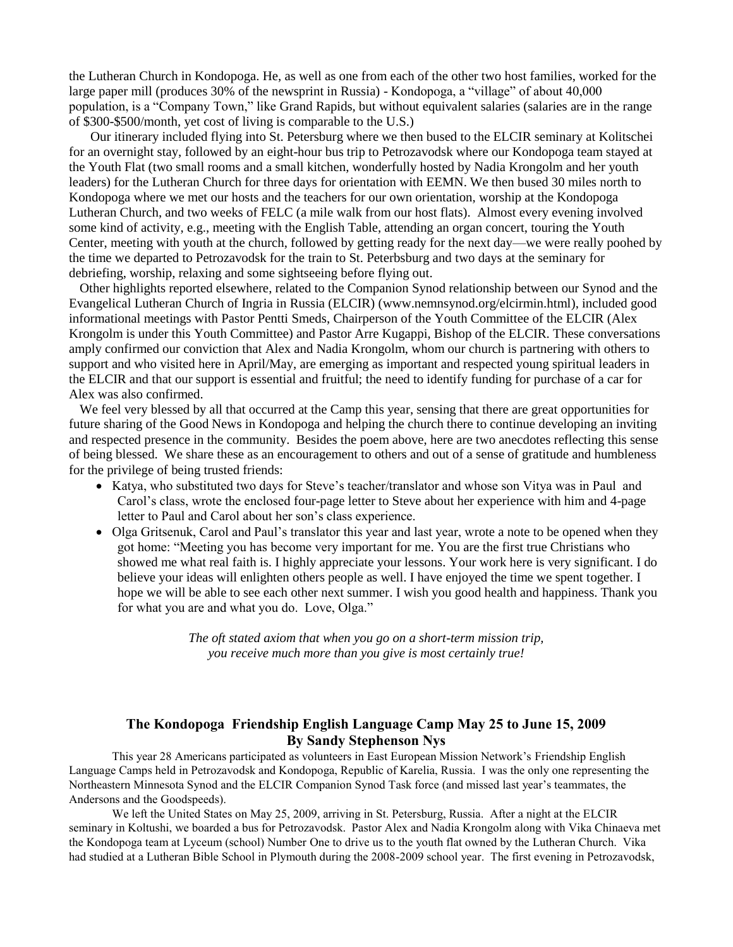the Lutheran Church in Kondopoga. He, as well as one from each of the other two host families, worked for the large paper mill (produces 30% of the newsprint in Russia) - Kondopoga, a "village" of about 40,000 population, is a "Company Town," like Grand Rapids, but without equivalent salaries (salaries are in the range of \$300-\$500/month, yet cost of living is comparable to the U.S.)

Our itinerary included flying into St. Petersburg where we then bused to the ELCIR seminary at Kolitschei for an overnight stay, followed by an eight-hour bus trip to Petrozavodsk where our Kondopoga team stayed at the Youth Flat (two small rooms and a small kitchen, wonderfully hosted by Nadia Krongolm and her youth leaders) for the Lutheran Church for three days for orientation with EEMN. We then bused 30 miles north to Kondopoga where we met our hosts and the teachers for our own orientation, worship at the Kondopoga Lutheran Church, and two weeks of FELC (a mile walk from our host flats). Almost every evening involved some kind of activity, e.g., meeting with the English Table, attending an organ concert, touring the Youth Center, meeting with youth at the church, followed by getting ready for the next day—we were really poohed by the time we departed to Petrozavodsk for the train to St. Peterbsburg and two days at the seminary for debriefing, worship, relaxing and some sightseeing before flying out.

Other highlights reported elsewhere, related to the Companion Synod relationship between our Synod and the Evangelical Lutheran Church of Ingria in Russia (ELCIR) (www.nemnsynod.org/elcirmin.html), included good informational meetings with Pastor Pentti Smeds, Chairperson of the Youth Committee of the ELCIR (Alex Krongolm is under this Youth Committee) and Pastor Arre Kugappi, Bishop of the ELCIR. These conversations amply confirmed our conviction that Alex and Nadia Krongolm, whom our church is partnering with others to support and who visited here in April/May, are emerging as important and respected young spiritual leaders in the ELCIR and that our support is essential and fruitful; the need to identify funding for purchase of a car for Alex was also confirmed.

We feel very blessed by all that occurred at the Camp this year, sensing that there are great opportunities for future sharing of the Good News in Kondopoga and helping the church there to continue developing an inviting and respected presence in the community. Besides the poem above, here are two anecdotes reflecting this sense of being blessed. We share these as an encouragement to others and out of a sense of gratitude and humbleness for the privilege of being trusted friends:

- Katya, who substituted two days for Steve's teacher/translator and whose son Vitya was in Paul and Carol's class, wrote the enclosed four-page letter to Steve about her experience with him and 4-page letter to Paul and Carol about her son's class experience.
- Olga Gritsenuk, Carol and Paul's translator this year and last year, wrote a note to be opened when they got home: "Meeting you has become very important for me. You are the first true Christians who showed me what real faith is. I highly appreciate your lessons. Your work here is very significant. I do believe your ideas will enlighten others people as well. I have enjoyed the time we spent together. I hope we will be able to see each other next summer. I wish you good health and happiness. Thank you for what you are and what you do. Love, Olga."

*The oft stated axiom that when you go on a short-term mission trip, you receive much more than you give is most certainly true!*

## **The Kondopoga Friendship English Language Camp May 25 to June 15, 2009 By Sandy Stephenson Nys**

This year 28 Americans participated as volunteers in East European Mission Network's Friendship English Language Camps held in Petrozavodsk and Kondopoga, Republic of Karelia, Russia. I was the only one representing the Northeastern Minnesota Synod and the ELCIR Companion Synod Task force (and missed last year's teammates, the Andersons and the Goodspeeds).

We left the United States on May 25, 2009, arriving in St. Petersburg, Russia. After a night at the ELCIR seminary in Koltushi, we boarded a bus for Petrozavodsk. Pastor Alex and Nadia Krongolm along with Vika Chinaeva met the Kondopoga team at Lyceum (school) Number One to drive us to the youth flat owned by the Lutheran Church. Vika had studied at a Lutheran Bible School in Plymouth during the 2008-2009 school year. The first evening in Petrozavodsk,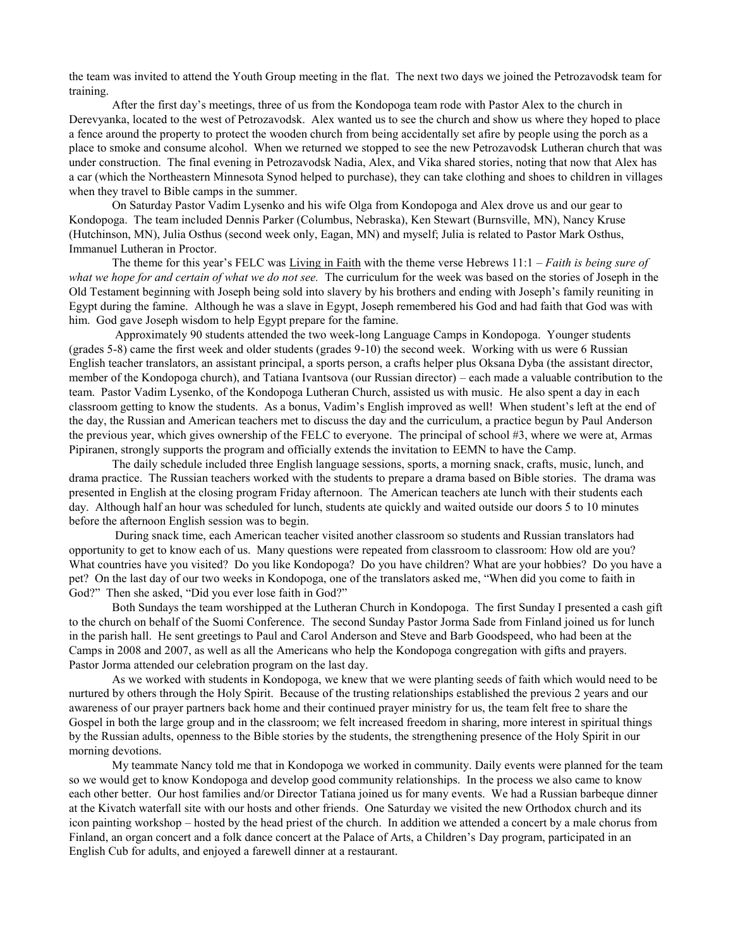the team was invited to attend the Youth Group meeting in the flat. The next two days we joined the Petrozavodsk team for training.

After the first day's meetings, three of us from the Kondopoga team rode with Pastor Alex to the church in Derevyanka, located to the west of Petrozavodsk. Alex wanted us to see the church and show us where they hoped to place a fence around the property to protect the wooden church from being accidentally set afire by people using the porch as a place to smoke and consume alcohol. When we returned we stopped to see the new Petrozavodsk Lutheran church that was under construction. The final evening in Petrozavodsk Nadia, Alex, and Vika shared stories, noting that now that Alex has a car (which the Northeastern Minnesota Synod helped to purchase), they can take clothing and shoes to children in villages when they travel to Bible camps in the summer.

On Saturday Pastor Vadim Lysenko and his wife Olga from Kondopoga and Alex drove us and our gear to Kondopoga. The team included Dennis Parker (Columbus, Nebraska), Ken Stewart (Burnsville, MN), Nancy Kruse (Hutchinson, MN), Julia Osthus (second week only, Eagan, MN) and myself; Julia is related to Pastor Mark Osthus, Immanuel Lutheran in Proctor.

The theme for this year's FELC was Living in Faith with the theme verse Hebrews 11:1 – *Faith is being sure of what we hope for and certain of what we do not see.* The curriculum for the week was based on the stories of Joseph in the Old Testament beginning with Joseph being sold into slavery by his brothers and ending with Joseph's family reuniting in Egypt during the famine. Although he was a slave in Egypt, Joseph remembered his God and had faith that God was with him. God gave Joseph wisdom to help Egypt prepare for the famine.

Approximately 90 students attended the two week-long Language Camps in Kondopoga. Younger students (grades 5-8) came the first week and older students (grades 9-10) the second week. Working with us were 6 Russian English teacher translators, an assistant principal, a sports person, a crafts helper plus Oksana Dyba (the assistant director, member of the Kondopoga church), and Tatiana Ivantsova (our Russian director) – each made a valuable contribution to the team. Pastor Vadim Lysenko, of the Kondopoga Lutheran Church, assisted us with music. He also spent a day in each classroom getting to know the students. As a bonus, Vadim's English improved as well! When student's left at the end of the day, the Russian and American teachers met to discuss the day and the curriculum, a practice begun by Paul Anderson the previous year, which gives ownership of the FELC to everyone. The principal of school #3, where we were at, Armas Pipiranen, strongly supports the program and officially extends the invitation to EEMN to have the Camp.

The daily schedule included three English language sessions, sports, a morning snack, crafts, music, lunch, and drama practice. The Russian teachers worked with the students to prepare a drama based on Bible stories. The drama was presented in English at the closing program Friday afternoon. The American teachers ate lunch with their students each day. Although half an hour was scheduled for lunch, students ate quickly and waited outside our doors 5 to 10 minutes before the afternoon English session was to begin.

During snack time, each American teacher visited another classroom so students and Russian translators had opportunity to get to know each of us. Many questions were repeated from classroom to classroom: How old are you? What countries have you visited? Do you like Kondopoga? Do you have children? What are your hobbies? Do you have a pet? On the last day of our two weeks in Kondopoga, one of the translators asked me, "When did you come to faith in God?" Then she asked, "Did you ever lose faith in God?"

Both Sundays the team worshipped at the Lutheran Church in Kondopoga. The first Sunday I presented a cash gift to the church on behalf of the Suomi Conference. The second Sunday Pastor Jorma Sade from Finland joined us for lunch in the parish hall. He sent greetings to Paul and Carol Anderson and Steve and Barb Goodspeed, who had been at the Camps in 2008 and 2007, as well as all the Americans who help the Kondopoga congregation with gifts and prayers. Pastor Jorma attended our celebration program on the last day.

As we worked with students in Kondopoga, we knew that we were planting seeds of faith which would need to be nurtured by others through the Holy Spirit. Because of the trusting relationships established the previous 2 years and our awareness of our prayer partners back home and their continued prayer ministry for us, the team felt free to share the Gospel in both the large group and in the classroom; we felt increased freedom in sharing, more interest in spiritual things by the Russian adults, openness to the Bible stories by the students, the strengthening presence of the Holy Spirit in our morning devotions.

My teammate Nancy told me that in Kondopoga we worked in community. Daily events were planned for the team so we would get to know Kondopoga and develop good community relationships. In the process we also came to know each other better. Our host families and/or Director Tatiana joined us for many events. We had a Russian barbeque dinner at the Kivatch waterfall site with our hosts and other friends. One Saturday we visited the new Orthodox church and its icon painting workshop – hosted by the head priest of the church. In addition we attended a concert by a male chorus from Finland, an organ concert and a folk dance concert at the Palace of Arts, a Children's Day program, participated in an English Cub for adults, and enjoyed a farewell dinner at a restaurant.